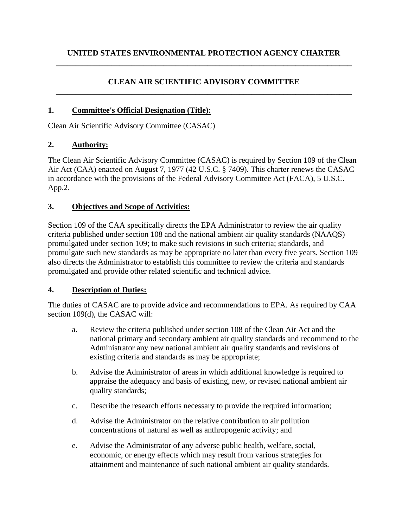### **CLEAN AIR SCIENTIFIC ADVISORY COMMITTEE \_\_\_\_\_\_\_\_\_\_\_\_\_\_\_\_\_\_\_\_\_\_\_\_\_\_\_\_\_\_\_\_\_\_\_\_\_\_\_\_\_\_\_\_\_\_\_\_\_\_\_\_\_\_\_\_\_\_\_\_\_\_\_\_\_\_\_\_\_\_\_\_\_\_**

#### **1. Committee's Official Designation (Title):**

Clean Air Scientific Advisory Committee (CASAC)

#### **2. Authority:**

The Clean Air Scientific Advisory Committee (CASAC) is required by Section 109 of the Clean Air Act (CAA) enacted on August 7, 1977 (42 U.S.C. § 7409). This charter renews the CASAC in accordance with the provisions of the Federal Advisory Committee Act (FACA), 5 U.S.C. App.2.

#### **3. Objectives and Scope of Activities:**

Section 109 of the CAA specifically directs the EPA Administrator to review the air quality criteria published under section 108 and the national ambient air quality standards (NAAQS) promulgated under section 109; to make such revisions in such criteria; standards, and promulgate such new standards as may be appropriate no later than every five years. Section 109 also directs the Administrator to establish this committee to review the criteria and standards promulgated and provide other related scientific and technical advice.

#### **4. Description of Duties:**

The duties of CASAC are to provide advice and recommendations to EPA. As required by CAA section 109(d), the CASAC will:

- a. Review the criteria published under section 108 of the Clean Air Act and the national primary and secondary ambient air quality standards and recommend to the Administrator any new national ambient air quality standards and revisions of existing criteria and standards as may be appropriate;
- b. Advise the Administrator of areas in which additional knowledge is required to appraise the adequacy and basis of existing, new, or revised national ambient air quality standards;
- c. Describe the research efforts necessary to provide the required information;
- d. Advise the Administrator on the relative contribution to air pollution concentrations of natural as well as anthropogenic activity; and
- e. Advise the Administrator of any adverse public health, welfare, social, economic, or energy effects which may result from various strategies for attainment and maintenance of such national ambient air quality standards.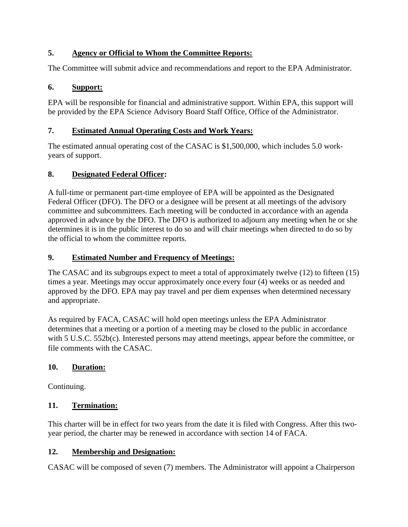### **5. Agency or Official to Whom the Committee Reports:**

The Committee will submit advice and recommendations and report to the EPA Administrator.

## **6. Support:**

EPA will be responsible for financial and administrative support. Within EPA, this support will be provided by the EPA Science Advisory Board Staff Office, Office of the Administrator.

## **7. Estimated Annual Operating Costs and Work Years:**

The estimated annual operating cost of the CASAC is \$1,500,000, which includes 5.0 workyears of support.

# **8. Designated Federal Officer:**

A full-time or permanent part-time employee of EPA will be appointed as the Designated Federal Officer (DFO). The DFO or a designee will be present at all meetings of the advisory committee and subcommittees. Each meeting will be conducted in accordance with an agenda approved in advance by the DFO. The DFO is authorized to adjourn any meeting when he or she determines it is in the public interest to do so and will chair meetings when directed to do so by the official to whom the committee reports.

## **9. Estimated Number and Frequency of Meetings:**

The CASAC and its subgroups expect to meet a total of approximately twelve (12) to fifteen (15) times a year. Meetings may occur approximately once every four (4) weeks or as needed and approved by the DFO. EPA may pay travel and per diem expenses when determined necessary and appropriate.

As required by FACA, CASAC will hold open meetings unless the EPA Administrator determines that a meeting or a portion of a meeting may be closed to the public in accordance with 5 U.S.C. 552b(c). Interested persons may attend meetings, appear before the committee, or file comments with the CASAC.

# **10. Duration:**

Continuing.

# **11. Termination:**

This charter will be in effect for two years from the date it is filed with Congress. After this twoyear period, the charter may be renewed in accordance with section 14 of FACA.

# **12. Membership and Designation:**

CASAC will be composed of seven (7) members. The Administrator will appoint a Chairperson